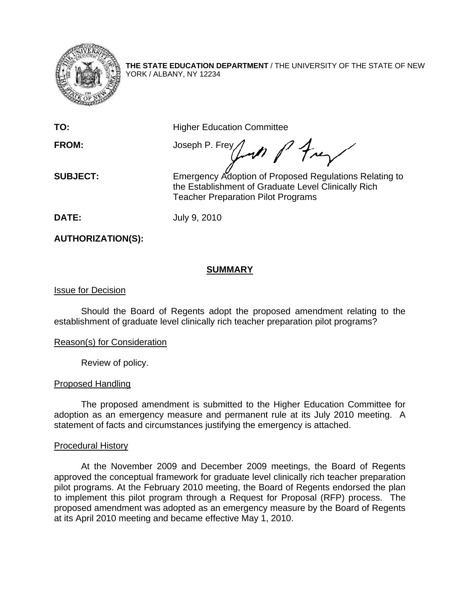

**THE STATE EDUCATION DEPARTMENT** / THE UNIVERSITY OF THE STATE OF NEW YORK / ALBANY, NY 12234

**TO: Higher Education Committee** 

FROM: Joseph P. Frey Lond P Frey

**SUBJECT:** Emergency Adoption of Proposed Regulations Relating to the Establishment of Graduate Level Clinically Rich Teacher Preparation Pilot Programs

**DATE:** July 9, 2010

**AUTHORIZATION(S):** 

## **SUMMARY**

## Issue for Decision

Should the Board of Regents adopt the proposed amendment relating to the establishment of graduate level clinically rich teacher preparation pilot programs?

## Reason(s) for Consideration

Review of policy.

## Proposed Handling

The proposed amendment is submitted to the Higher Education Committee for adoption as an emergency measure and permanent rule at its July 2010 meeting. A statement of facts and circumstances justifying the emergency is attached.

#### Procedural History

 At the November 2009 and December 2009 meetings, the Board of Regents approved the conceptual framework for graduate level clinically rich teacher preparation pilot programs. At the February 2010 meeting, the Board of Regents endorsed the plan to implement this pilot program through a Request for Proposal (RFP) process. The proposed amendment was adopted as an emergency measure by the Board of Regents at its April 2010 meeting and became effective May 1, 2010.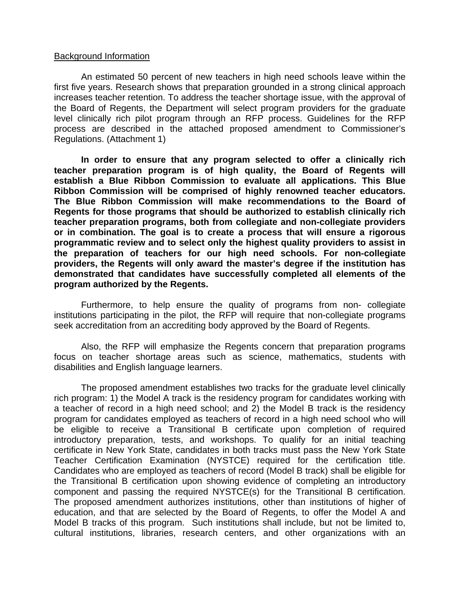#### Background Information

 An estimated 50 percent of new teachers in high need schools leave within the first five years. Research shows that preparation grounded in a strong clinical approach increases teacher retention. To address the teacher shortage issue, with the approval of the Board of Regents, the Department will select program providers for the graduate level clinically rich pilot program through an RFP process. Guidelines for the RFP process are described in the attached proposed amendment to Commissioner's Regulations. (Attachment 1)

**In order to ensure that any program selected to offer a clinically rich teacher preparation program is of high quality, the Board of Regents will establish a Blue Ribbon Commission to evaluate all applications. This Blue Ribbon Commission will be comprised of highly renowned teacher educators. The Blue Ribbon Commission will make recommendations to the Board of Regents for those programs that should be authorized to establish clinically rich teacher preparation programs, both from collegiate and non-collegiate providers or in combination. The goal is to create a process that will ensure a rigorous programmatic review and to select only the highest quality providers to assist in the preparation of teachers for our high need schools. For non-collegiate providers, the Regents will only award the master's degree if the institution has demonstrated that candidates have successfully completed all elements of the program authorized by the Regents.** 

Furthermore, to help ensure the quality of programs from non- collegiate institutions participating in the pilot, the RFP will require that non-collegiate programs seek accreditation from an accrediting body approved by the Board of Regents.

 Also, the RFP will emphasize the Regents concern that preparation programs focus on teacher shortage areas such as science, mathematics, students with disabilities and English language learners.

 The proposed amendment establishes two tracks for the graduate level clinically rich program: 1) the Model A track is the residency program for candidates working with a teacher of record in a high need school; and 2) the Model B track is the residency program for candidates employed as teachers of record in a high need school who will be eligible to receive a Transitional B certificate upon completion of required introductory preparation, tests, and workshops. To qualify for an initial teaching certificate in New York State, candidates in both tracks must pass the New York State Teacher Certification Examination (NYSTCE) required for the certification title. Candidates who are employed as teachers of record (Model B track) shall be eligible for the Transitional B certification upon showing evidence of completing an introductory component and passing the required NYSTCE(s) for the Transitional B certification. The proposed amendment authorizes institutions, other than institutions of higher of education, and that are selected by the Board of Regents, to offer the Model A and Model B tracks of this program. Such institutions shall include, but not be limited to, cultural institutions, libraries, research centers, and other organizations with an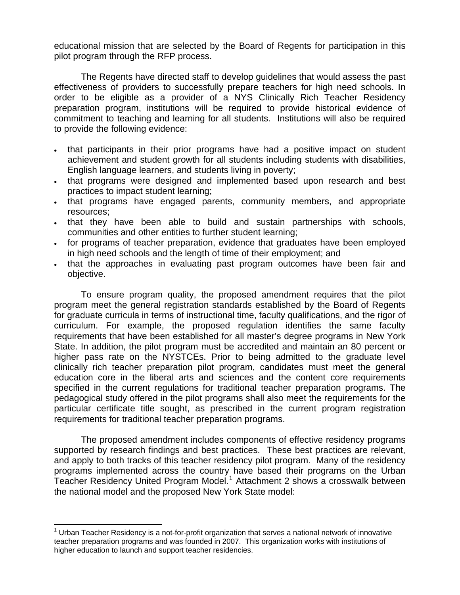educational mission that are selected by the Board of Regents for participation in this pilot program through the RFP process.

 The Regents have directed staff to develop guidelines that would assess the past effectiveness of providers to successfully prepare teachers for high need schools. In order to be eligible as a provider of a NYS Clinically Rich Teacher Residency preparation program, institutions will be required to provide historical evidence of commitment to teaching and learning for all students. Institutions will also be required to provide the following evidence:

- that participants in their prior programs have had a positive impact on student achievement and student growth for all students including students with disabilities, English language learners, and students living in poverty;
- that programs were designed and implemented based upon research and best practices to impact student learning;
- that programs have engaged parents, community members, and appropriate resources;
- that they have been able to build and sustain partnerships with schools, communities and other entities to further student learning;
- for programs of teacher preparation, evidence that graduates have been employed in high need schools and the length of time of their employment; and
- that the approaches in evaluating past program outcomes have been fair and objective.

 To ensure program quality, the proposed amendment requires that the pilot program meet the general registration standards established by the Board of Regents for graduate curricula in terms of instructional time, faculty qualifications, and the rigor of curriculum. For example, the proposed regulation identifies the same faculty requirements that have been established for all master's degree programs in New York State. In addition, the pilot program must be accredited and maintain an 80 percent or higher pass rate on the NYSTCEs. Prior to being admitted to the graduate level clinically rich teacher preparation pilot program, candidates must meet the general education core in the liberal arts and sciences and the content core requirements specified in the current regulations for traditional teacher preparation programs. The pedagogical study offered in the pilot programs shall also meet the requirements for the particular certificate title sought, as prescribed in the current program registration requirements for traditional teacher preparation programs.

 The proposed amendment includes components of effective residency programs supported by research findings and best practices. These best practices are relevant, and apply to both tracks of this teacher residency pilot program. Many of the residency programs implemented across the country have based their programs on the Urban Teacher Residency United Program Model.<sup>[1](#page-2-0)</sup> Attachment 2 shows a crosswalk between the national model and the proposed New York State model:

<span id="page-2-0"></span> $1$  Urban Teacher Residency is a not-for-profit organization that serves a national network of innovative teacher preparation programs and was founded in 2007. This organization works with institutions of higher education to launch and support teacher residencies.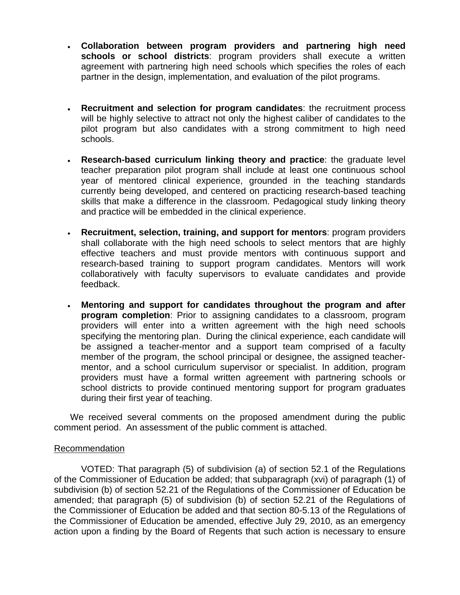- **Collaboration between program providers and partnering high need schools or school districts**: program providers shall execute a written agreement with partnering high need schools which specifies the roles of each partner in the design, implementation, and evaluation of the pilot programs.
- **Recruitment and selection for program candidates**: the recruitment process will be highly selective to attract not only the highest caliber of candidates to the pilot program but also candidates with a strong commitment to high need schools.
- **Research-based curriculum linking theory and practice**: the graduate level teacher preparation pilot program shall include at least one continuous school year of mentored clinical experience, grounded in the teaching standards currently being developed, and centered on practicing research-based teaching skills that make a difference in the classroom. Pedagogical study linking theory and practice will be embedded in the clinical experience.
- **Recruitment, selection, training, and support for mentors**: program providers shall collaborate with the high need schools to select mentors that are highly effective teachers and must provide mentors with continuous support and research-based training to support program candidates. Mentors will work collaboratively with faculty supervisors to evaluate candidates and provide feedback.
- **Mentoring and support for candidates throughout the program and after program completion**: Prior to assigning candidates to a classroom, program providers will enter into a written agreement with the high need schools specifying the mentoring plan. During the clinical experience, each candidate will be assigned a teacher-mentor and a support team comprised of a faculty member of the program, the school principal or designee, the assigned teachermentor, and a school curriculum supervisor or specialist. In addition, program providers must have a formal written agreement with partnering schools or school districts to provide continued mentoring support for program graduates during their first year of teaching.

 We received several comments on the proposed amendment during the public comment period. An assessment of the public comment is attached.

## Recommendation

VOTED: That paragraph (5) of subdivision (a) of section 52.1 of the Regulations of the Commissioner of Education be added; that subparagraph (xvi) of paragraph (1) of subdivision (b) of section 52.21 of the Regulations of the Commissioner of Education be amended; that paragraph (5) of subdivision (b) of section 52.21 of the Regulations of the Commissioner of Education be added and that section 80-5.13 of the Regulations of the Commissioner of Education be amended, effective July 29, 2010, as an emergency action upon a finding by the Board of Regents that such action is necessary to ensure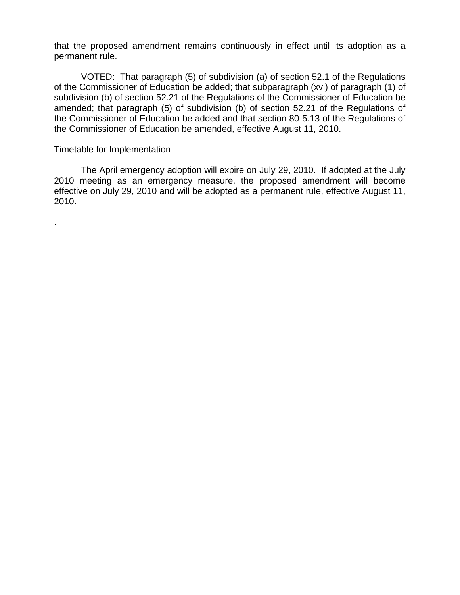that the proposed amendment remains continuously in effect until its adoption as a permanent rule.

VOTED: That paragraph (5) of subdivision (a) of section 52.1 of the Regulations of the Commissioner of Education be added; that subparagraph (xvi) of paragraph (1) of subdivision (b) of section 52.21 of the Regulations of the Commissioner of Education be amended; that paragraph (5) of subdivision (b) of section 52.21 of the Regulations of the Commissioner of Education be added and that section 80-5.13 of the Regulations of the Commissioner of Education be amended, effective August 11, 2010.

#### Timetable for Implementation

.

 The April emergency adoption will expire on July 29, 2010. If adopted at the July 2010 meeting as an emergency measure, the proposed amendment will become effective on July 29, 2010 and will be adopted as a permanent rule, effective August 11, 2010.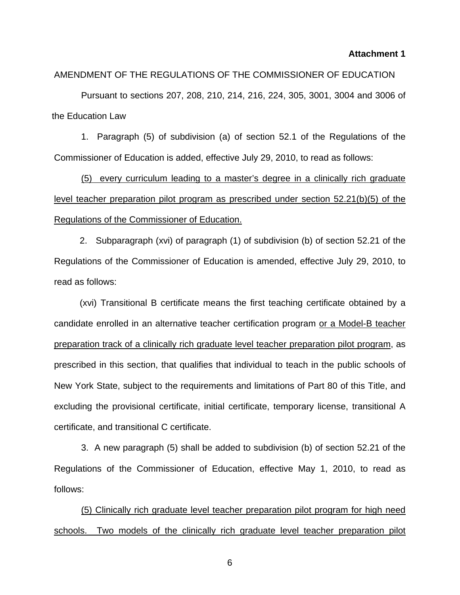#### **Attachment 1**

#### AMENDMENT OF THE REGULATIONS OF THE COMMISSIONER OF EDUCATION

Pursuant to sections 207, 208, 210, 214, 216, 224, 305, 3001, 3004 and 3006 of the Education Law

1. Paragraph (5) of subdivision (a) of section 52.1 of the Regulations of the Commissioner of Education is added, effective July 29, 2010, to read as follows:

(5) every curriculum leading to a master's degree in a clinically rich graduate level teacher preparation pilot program as prescribed under section 52.21(b)(5) of the Regulations of the Commissioner of Education.

2. Subparagraph (xvi) of paragraph (1) of subdivision (b) of section 52.21 of the Regulations of the Commissioner of Education is amended, effective July 29, 2010, to read as follows:

(xvi) Transitional B certificate means the first teaching certificate obtained by a candidate enrolled in an alternative teacher certification program or a Model-B teacher preparation track of a clinically rich graduate level teacher preparation pilot program, as prescribed in this section, that qualifies that individual to teach in the public schools of New York State, subject to the requirements and limitations of Part 80 of this Title, and excluding the provisional certificate, initial certificate, temporary license, transitional A certificate, and transitional C certificate.

 3. A new paragraph (5) shall be added to subdivision (b) of section 52.21 of the Regulations of the Commissioner of Education, effective May 1, 2010, to read as follows:

 (5) Clinically rich graduate level teacher preparation pilot program for high need schools. Two models of the clinically rich graduate level teacher preparation pilot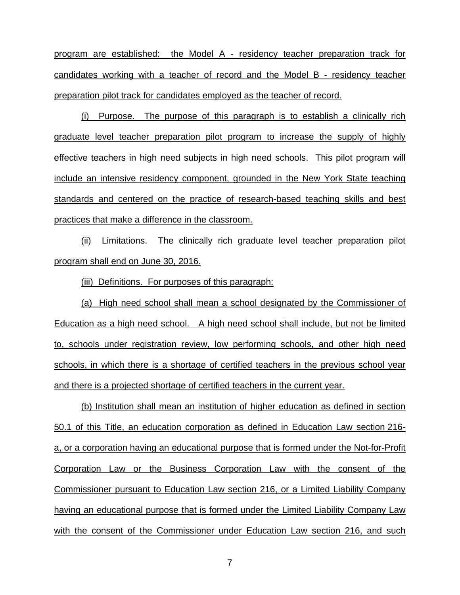program are established: the Model A - residency teacher preparation track for candidates working with a teacher of record and the Model B - residency teacher preparation pilot track for candidates employed as the teacher of record.

(i) Purpose. The purpose of this paragraph is to establish a clinically rich graduate level teacher preparation pilot program to increase the supply of highly effective teachers in high need subjects in high need schools. This pilot program will include an intensive residency component, grounded in the New York State teaching standards and centered on the practice of research-based teaching skills and best practices that make a difference in the classroom.

(ii) Limitations. The clinically rich graduate level teacher preparation pilot program shall end on June 30, 2016.

(iii) Definitions. For purposes of this paragraph:

(a) High need school shall mean a school designated by the Commissioner of Education as a high need school. A high need school shall include, but not be limited to, schools under registration review, low performing schools, and other high need schools, in which there is a shortage of certified teachers in the previous school year and there is a projected shortage of certified teachers in the current year.

(b) Institution shall mean an institution of higher education as defined in section 50.1 of this Title, an education corporation as defined in Education Law section 216 a, or a corporation having an educational purpose that is formed under the Not-for-Profit Corporation Law or the Business Corporation Law with the consent of the Commissioner pursuant to Education Law section 216, or a Limited Liability Company having an educational purpose that is formed under the Limited Liability Company Law with the consent of the Commissioner under Education Law section 216, and such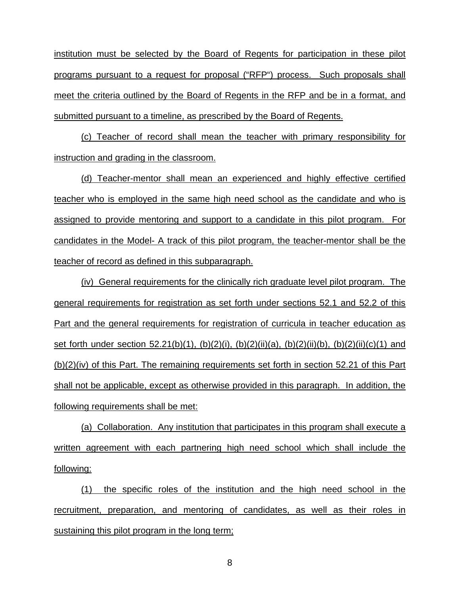institution must be selected by the Board of Regents for participation in these pilot programs pursuant to a request for proposal ("RFP") process. Such proposals shall meet the criteria outlined by the Board of Regents in the RFP and be in a format, and submitted pursuant to a timeline, as prescribed by the Board of Regents.

(c) Teacher of record shall mean the teacher with primary responsibility for instruction and grading in the classroom.

(d) Teacher-mentor shall mean an experienced and highly effective certified teacher who is employed in the same high need school as the candidate and who is assigned to provide mentoring and support to a candidate in this pilot program. For candidates in the Model- A track of this pilot program, the teacher-mentor shall be the teacher of record as defined in this subparagraph.

(iv) General requirements for the clinically rich graduate level pilot program. The general requirements for registration as set forth under sections 52.1 and 52.2 of this Part and the general requirements for registration of curricula in teacher education as set forth under section 52.21(b)(1), (b)(2)(i), (b)(2)(ii)(a), (b)(2)(ii)(b), (b)(2)(ii)(c)(1) and (b)(2)(iv) of this Part. The remaining requirements set forth in section 52.21 of this Part shall not be applicable, except as otherwise provided in this paragraph. In addition, the following requirements shall be met:

(a) Collaboration. Any institution that participates in this program shall execute a written agreement with each partnering high need school which shall include the following:

(1) the specific roles of the institution and the high need school in the recruitment, preparation, and mentoring of candidates, as well as their roles in sustaining this pilot program in the long term;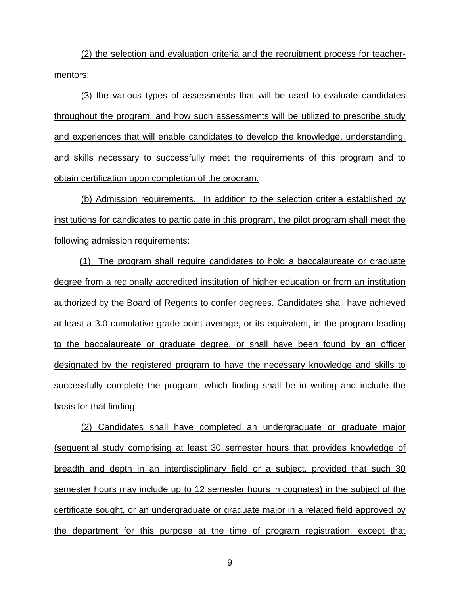(2) the selection and evaluation criteria and the recruitment process for teachermentors;

(3) the various types of assessments that will be used to evaluate candidates throughout the program, and how such assessments will be utilized to prescribe study and experiences that will enable candidates to develop the knowledge, understanding, and skills necessary to successfully meet the requirements of this program and to obtain certification upon completion of the program.

(b) Admission requirements. In addition to the selection criteria established by institutions for candidates to participate in this program, the pilot program shall meet the following admission requirements:

(1) The program shall require candidates to hold a baccalaureate or graduate degree from a regionally accredited institution of higher education or from an institution authorized by the Board of Regents to confer degrees. Candidates shall have achieved at least a 3.0 cumulative grade point average, or its equivalent, in the program leading to the baccalaureate or graduate degree, or shall have been found by an officer designated by the registered program to have the necessary knowledge and skills to successfully complete the program, which finding shall be in writing and include the basis for that finding.

(2) Candidates shall have completed an undergraduate or graduate major (sequential study comprising at least 30 semester hours that provides knowledge of breadth and depth in an interdisciplinary field or a subject, provided that such 30 semester hours may include up to 12 semester hours in cognates) in the subject of the certificate sought, or an undergraduate or graduate major in a related field approved by the department for this purpose at the time of program registration, except that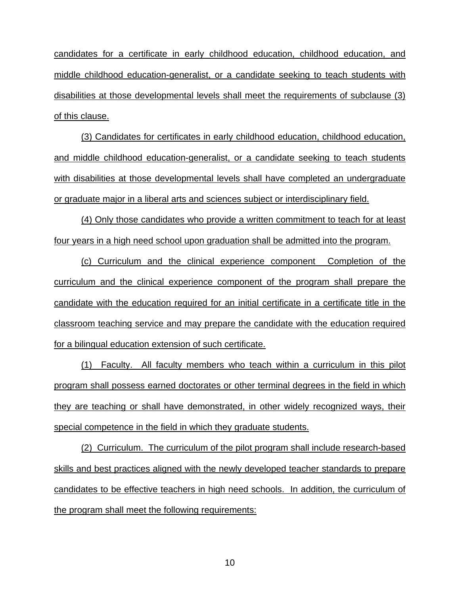candidates for a certificate in early childhood education, childhood education, and middle childhood education-generalist, or a candidate seeking to teach students with disabilities at those developmental levels shall meet the requirements of subclause (3) of this clause.

(3) Candidates for certificates in early childhood education, childhood education, and middle childhood education-generalist, or a candidate seeking to teach students with disabilities at those developmental levels shall have completed an undergraduate or graduate major in a liberal arts and sciences subject or interdisciplinary field.

 (4) Only those candidates who provide a written commitment to teach for at least four years in a high need school upon graduation shall be admitted into the program.

(c) Curriculum and the clinical experience component Completion of the curriculum and the clinical experience component of the program shall prepare the candidate with the education required for an initial certificate in a certificate title in the classroom teaching service and may prepare the candidate with the education required for a bilingual education extension of such certificate.

(1) Faculty. All faculty members who teach within a curriculum in this pilot program shall possess earned doctorates or other terminal degrees in the field in which they are teaching or shall have demonstrated, in other widely recognized ways, their special competence in the field in which they graduate students.

(2) Curriculum. The curriculum of the pilot program shall include research-based skills and best practices aligned with the newly developed teacher standards to prepare candidates to be effective teachers in high need schools. In addition, the curriculum of the program shall meet the following requirements: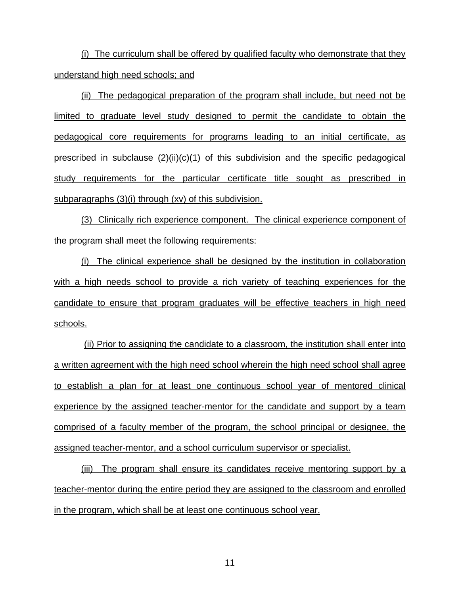(i) The curriculum shall be offered by qualified faculty who demonstrate that they understand high need schools; and

(ii) The pedagogical preparation of the program shall include, but need not be limited to graduate level study designed to permit the candidate to obtain the pedagogical core requirements for programs leading to an initial certificate, as prescribed in subclause  $(2)(ii)(c)(1)$  of this subdivision and the specific pedagogical study requirements for the particular certificate title sought as prescribed in subparagraphs (3)(i) through (xv) of this subdivision.

(3) Clinically rich experience component. The clinical experience component of the program shall meet the following requirements:

(i) The clinical experience shall be designed by the institution in collaboration with a high needs school to provide a rich variety of teaching experiences for the candidate to ensure that program graduates will be effective teachers in high need schools.

 (ii) Prior to assigning the candidate to a classroom, the institution shall enter into a written agreement with the high need school wherein the high need school shall agree to establish a plan for at least one continuous school year of mentored clinical experience by the assigned teacher-mentor for the candidate and support by a team comprised of a faculty member of the program, the school principal or designee, the assigned teacher-mentor, and a school curriculum supervisor or specialist.

(iii) The program shall ensure its candidates receive mentoring support by a teacher-mentor during the entire period they are assigned to the classroom and enrolled in the program, which shall be at least one continuous school year.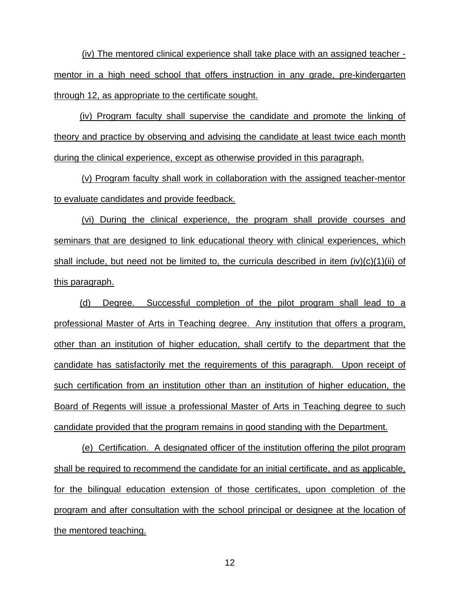(iv) The mentored clinical experience shall take place with an assigned teacher mentor in a high need school that offers instruction in any grade, pre-kindergarten through 12, as appropriate to the certificate sought.

(iv) Program faculty shall supervise the candidate and promote the linking of theory and practice by observing and advising the candidate at least twice each month during the clinical experience, except as otherwise provided in this paragraph.

 (v) Program faculty shall work in collaboration with the assigned teacher-mentor to evaluate candidates and provide feedback.

 (vi) During the clinical experience, the program shall provide courses and seminars that are designed to link educational theory with clinical experiences, which shall include, but need not be limited to, the curricula described in item (iv)(c)(1)(ii) of this paragraph.

(d) Degree. Successful completion of the pilot program shall lead to a professional Master of Arts in Teaching degree. Any institution that offers a program, other than an institution of higher education, shall certify to the department that the candidate has satisfactorily met the requirements of this paragraph. Upon receipt of such certification from an institution other than an institution of higher education, the Board of Regents will issue a professional Master of Arts in Teaching degree to such candidate provided that the program remains in good standing with the Department.

(e) Certification. A designated officer of the institution offering the pilot program shall be required to recommend the candidate for an initial certificate, and as applicable, for the bilingual education extension of those certificates, upon completion of the program and after consultation with the school principal or designee at the location of the mentored teaching.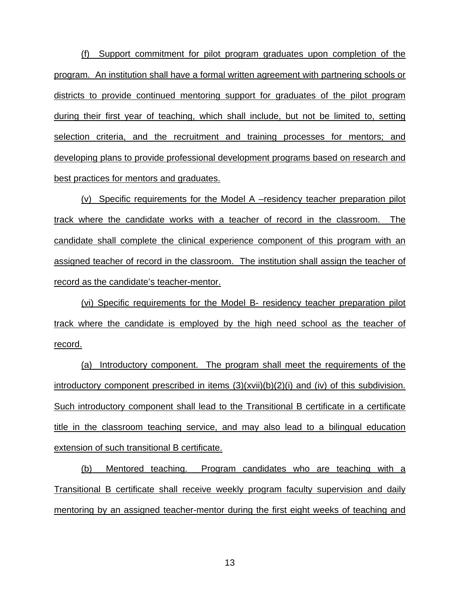(f) Support commitment for pilot program graduates upon completion of the program. An institution shall have a formal written agreement with partnering schools or districts to provide continued mentoring support for graduates of the pilot program during their first year of teaching, which shall include, but not be limited to, setting selection criteria, and the recruitment and training processes for mentors; and developing plans to provide professional development programs based on research and best practices for mentors and graduates.

(v) Specific requirements for the Model A –residency teacher preparation pilot track where the candidate works with a teacher of record in the classroom. The candidate shall complete the clinical experience component of this program with an assigned teacher of record in the classroom. The institution shall assign the teacher of record as the candidate's teacher-mentor.

(vi) Specific requirements for the Model B- residency teacher preparation pilot track where the candidate is employed by the high need school as the teacher of record.

(a) Introductory component. The program shall meet the requirements of the introductory component prescribed in items (3)(xvii)(b)(2)(i) and (iv) of this subdivision. Such introductory component shall lead to the Transitional B certificate in a certificate title in the classroom teaching service, and may also lead to a bilingual education extension of such transitional B certificate.

(b) Mentored teaching. Program candidates who are teaching with a Transitional B certificate shall receive weekly program faculty supervision and daily mentoring by an assigned teacher-mentor during the first eight weeks of teaching and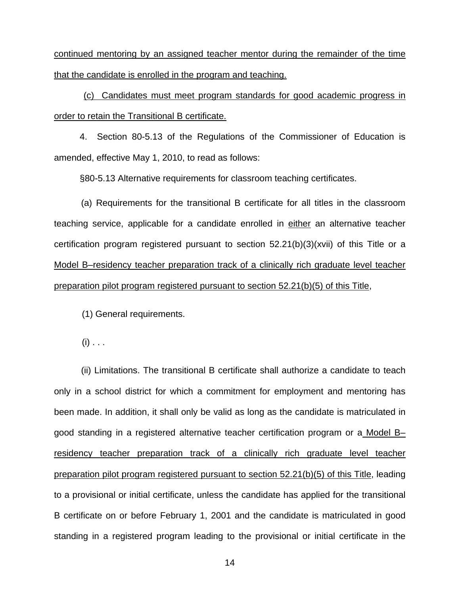continued mentoring by an assigned teacher mentor during the remainder of the time that the candidate is enrolled in the program and teaching.

(c) Candidates must meet program standards for good academic progress in order to retain the Transitional B certificate.

 4. Section 80-5.13 of the Regulations of the Commissioner of Education is amended, effective May 1, 2010, to read as follows:

§80-5.13 Alternative requirements for classroom teaching certificates.

(a) Requirements for the transitional B certificate for all titles in the classroom teaching service, applicable for a candidate enrolled in either an alternative teacher certification program registered pursuant to section 52.21(b)(3)(xvii) of this Title or a Model B–residency teacher preparation track of a clinically rich graduate level teacher preparation pilot program registered pursuant to section 52.21(b)(5) of this Title,

(1) General requirements.

 $(i)$  . . .

(ii) Limitations. The transitional B certificate shall authorize a candidate to teach only in a school district for which a commitment for employment and mentoring has been made. In addition, it shall only be valid as long as the candidate is matriculated in good standing in a registered alternative teacher certification program or a Model B– residency teacher preparation track of a clinically rich graduate level teacher preparation pilot program registered pursuant to section 52.21(b)(5) of this Title, leading to a provisional or initial certificate, unless the candidate has applied for the transitional B certificate on or before February 1, 2001 and the candidate is matriculated in good standing in a registered program leading to the provisional or initial certificate in the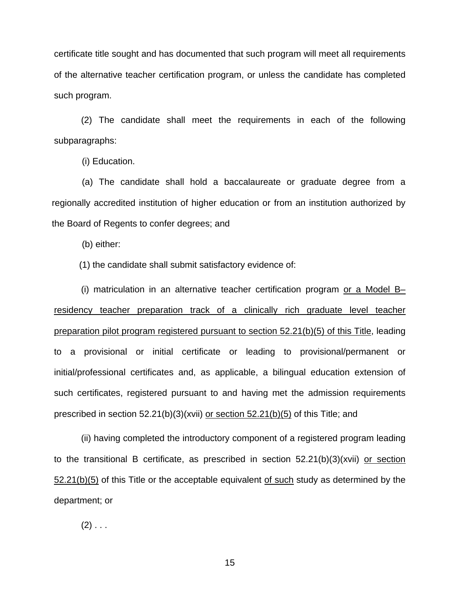certificate title sought and has documented that such program will meet all requirements of the alternative teacher certification program, or unless the candidate has completed such program.

(2) The candidate shall meet the requirements in each of the following subparagraphs:

(i) Education.

(a) The candidate shall hold a baccalaureate or graduate degree from a regionally accredited institution of higher education or from an institution authorized by the Board of Regents to confer degrees; and

(b) either:

(1) the candidate shall submit satisfactory evidence of:

(i) matriculation in an alternative teacher certification program or a Model B– residency teacher preparation track of a clinically rich graduate level teacher preparation pilot program registered pursuant to section 52.21(b)(5) of this Title, leading to a provisional or initial certificate or leading to provisional/permanent or initial/professional certificates and, as applicable, a bilingual education extension of such certificates, registered pursuant to and having met the admission requirements prescribed in section 52.21(b)(3)(xvii) or section 52.21(b)(5) of this Title; and

(ii) having completed the introductory component of a registered program leading to the transitional B certificate, as prescribed in section 52.21(b)(3)(xvii) or section 52.21(b)(5) of this Title or the acceptable equivalent of such study as determined by the department; or

 $(2)$  . . .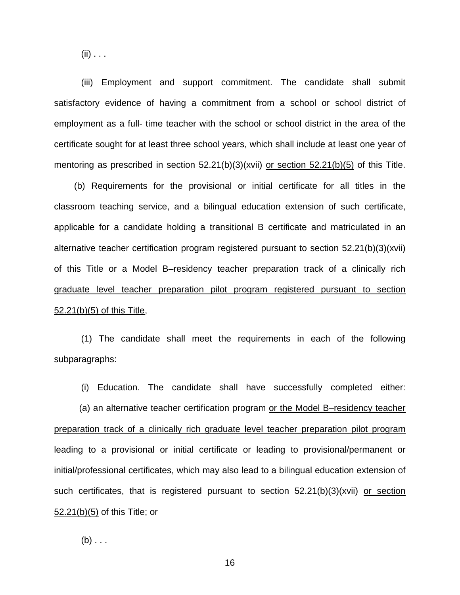$(ii) \ldots$ 

(iii) Employment and support commitment. The candidate shall submit satisfactory evidence of having a commitment from a school or school district of employment as a full- time teacher with the school or school district in the area of the certificate sought for at least three school years, which shall include at least one year of mentoring as prescribed in section 52.21(b)(3)(xvii) or section 52.21(b)(5) of this Title.

 (b) Requirements for the provisional or initial certificate for all titles in the classroom teaching service, and a bilingual education extension of such certificate, applicable for a candidate holding a transitional B certificate and matriculated in an alternative teacher certification program registered pursuant to section 52.21(b)(3)(xvii) of this Title or a Model B–residency teacher preparation track of a clinically rich graduate level teacher preparation pilot program registered pursuant to section 52.21(b)(5) of this Title,

(1) The candidate shall meet the requirements in each of the following subparagraphs:

(i) Education. The candidate shall have successfully completed either:

 (a) an alternative teacher certification program or the Model B–residency teacher preparation track of a clinically rich graduate level teacher preparation pilot program leading to a provisional or initial certificate or leading to provisional/permanent or initial/professional certificates, which may also lead to a bilingual education extension of such certificates, that is registered pursuant to section 52.21(b)(3)(xvii) or section 52.21(b)(5) of this Title; or

 $(b) \ldots$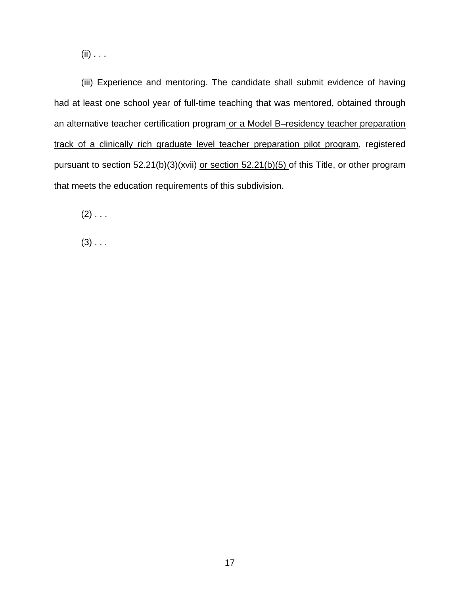$(ii) \ldots$ 

(iii) Experience and mentoring. The candidate shall submit evidence of having had at least one school year of full-time teaching that was mentored, obtained through an alternative teacher certification program or a Model B–residency teacher preparation track of a clinically rich graduate level teacher preparation pilot program, registered pursuant to section 52.21(b)(3)(xvii) or section 52.21(b)(5) of this Title, or other program that meets the education requirements of this subdivision.

 $(2)$  . . .

 $(3)$  . . .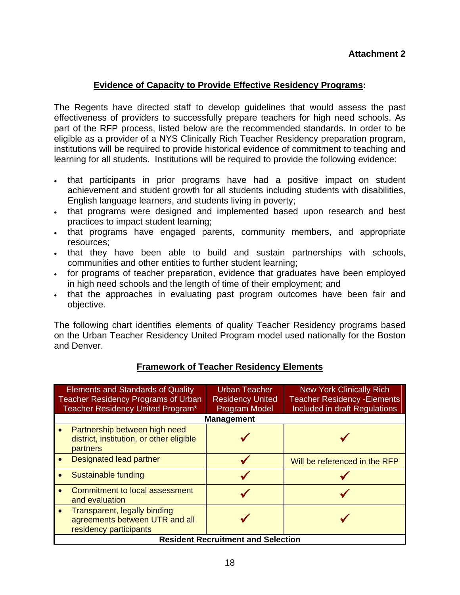## **Attachment 2**

## **Evidence of Capacity to Provide Effective Residency Programs:**

The Regents have directed staff to develop guidelines that would assess the past effectiveness of providers to successfully prepare teachers for high need schools. As part of the RFP process, listed below are the recommended standards. In order to be eligible as a provider of a NYS Clinically Rich Teacher Residency preparation program, institutions will be required to provide historical evidence of commitment to teaching and learning for all students. Institutions will be required to provide the following evidence:

- that participants in prior programs have had a positive impact on student achievement and student growth for all students including students with disabilities, English language learners, and students living in poverty;
- that programs were designed and implemented based upon research and best practices to impact student learning;
- . that programs have engaged parents, community members, and appropriate resources;
- that they have been able to build and sustain partnerships with schools, communities and other entities to further student learning;
- for programs of teacher preparation, evidence that graduates have been employed in high need schools and the length of time of their employment; and
- that the approaches in evaluating past program outcomes have been fair and objective.

The following chart identifies elements of quality Teacher Residency programs based on the Urban Teacher Residency United Program model used nationally for the Boston and Denver.

| <b>Elements and Standards of Quality</b><br><b>Teacher Residency Programs of Urban</b><br>Teacher Residency United Program* |                                                                                          | Urban Teacher<br><b>Residency United</b><br><b>Program Model</b> | <b>New York Clinically Rich</b><br><b>Teacher Residency - Elements</b><br>Included in draft Regulations |  |
|-----------------------------------------------------------------------------------------------------------------------------|------------------------------------------------------------------------------------------|------------------------------------------------------------------|---------------------------------------------------------------------------------------------------------|--|
| <b>Management</b>                                                                                                           |                                                                                          |                                                                  |                                                                                                         |  |
| $\bullet$                                                                                                                   | Partnership between high need<br>district, institution, or other eligible<br>partners    |                                                                  |                                                                                                         |  |
|                                                                                                                             | <b>Designated lead partner</b>                                                           |                                                                  | Will be referenced in the RFP                                                                           |  |
|                                                                                                                             | Sustainable funding                                                                      |                                                                  |                                                                                                         |  |
|                                                                                                                             | <b>Commitment to local assessment</b><br>and evaluation                                  |                                                                  |                                                                                                         |  |
|                                                                                                                             | Transparent, legally binding<br>agreements between UTR and all<br>residency participants |                                                                  |                                                                                                         |  |
| <b>Resident Recruitment and Selection</b>                                                                                   |                                                                                          |                                                                  |                                                                                                         |  |

## **Framework of Teacher Residency Elements**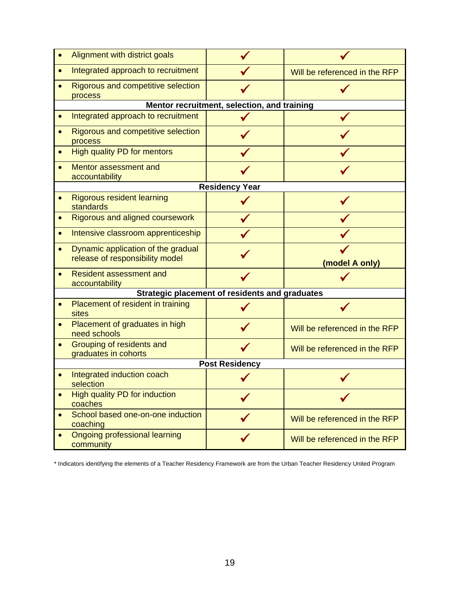|                       | Alignment with district goals                                         |                                             |                               |  |  |
|-----------------------|-----------------------------------------------------------------------|---------------------------------------------|-------------------------------|--|--|
|                       | Integrated approach to recruitment                                    |                                             | Will be referenced in the RFP |  |  |
|                       | Rigorous and competitive selection<br>process                         |                                             |                               |  |  |
|                       |                                                                       | Mentor recruitment, selection, and training |                               |  |  |
|                       | Integrated approach to recruitment                                    |                                             |                               |  |  |
|                       | Rigorous and competitive selection<br>process                         |                                             |                               |  |  |
|                       | <b>High quality PD for mentors</b>                                    |                                             |                               |  |  |
|                       | Mentor assessment and<br>accountability                               |                                             |                               |  |  |
| <b>Residency Year</b> |                                                                       |                                             |                               |  |  |
|                       | <b>Rigorous resident learning</b><br>standards                        |                                             |                               |  |  |
|                       | <b>Rigorous and aligned coursework</b>                                |                                             |                               |  |  |
|                       | Intensive classroom apprenticeship                                    |                                             |                               |  |  |
|                       | Dynamic application of the gradual<br>release of responsibility model |                                             | (model A only)                |  |  |
|                       | <b>Resident assessment and</b><br>accountability                      |                                             |                               |  |  |
|                       | Strategic placement of residents and graduates                        |                                             |                               |  |  |
|                       | Placement of resident in training<br>sites                            |                                             |                               |  |  |
|                       | Placement of graduates in high<br>need schools                        |                                             | Will be referenced in the RFP |  |  |
|                       | Grouping of residents and<br>graduates in cohorts                     |                                             | Will be referenced in the RFP |  |  |
| <b>Post Residency</b> |                                                                       |                                             |                               |  |  |
|                       | Integrated induction coach<br>selection                               |                                             |                               |  |  |
|                       | <b>High quality PD for induction</b><br>coaches                       |                                             |                               |  |  |
| $\bullet$             | School based one-on-one induction<br>coaching                         |                                             | Will be referenced in the RFP |  |  |
| $\bullet$             | <b>Ongoing professional learning</b><br>community                     |                                             | Will be referenced in the RFP |  |  |

\* Indicators identifying the elements of a Teacher Residency Framework are from the Urban Teacher Residency United Program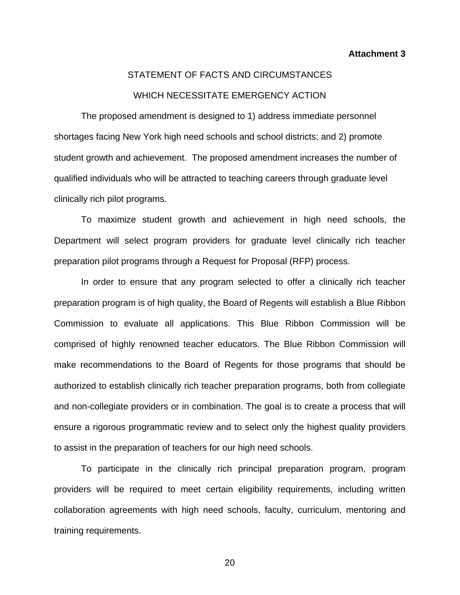**Attachment 3** 

# STATEMENT OF FACTS AND CIRCUMSTANCES WHICH NECESSITATE EMERGENCY ACTION

 The proposed amendment is designed to 1) address immediate personnel shortages facing New York high need schools and school districts; and 2) promote student growth and achievement. The proposed amendment increases the number of qualified individuals who will be attracted to teaching careers through graduate level clinically rich pilot programs.

 To maximize student growth and achievement in high need schools, the Department will select program providers for graduate level clinically rich teacher preparation pilot programs through a Request for Proposal (RFP) process.

In order to ensure that any program selected to offer a clinically rich teacher preparation program is of high quality, the Board of Regents will establish a Blue Ribbon Commission to evaluate all applications. This Blue Ribbon Commission will be comprised of highly renowned teacher educators. The Blue Ribbon Commission will make recommendations to the Board of Regents for those programs that should be authorized to establish clinically rich teacher preparation programs, both from collegiate and non-collegiate providers or in combination. The goal is to create a process that will ensure a rigorous programmatic review and to select only the highest quality providers to assist in the preparation of teachers for our high need schools.

 To participate in the clinically rich principal preparation program, program providers will be required to meet certain eligibility requirements, including written collaboration agreements with high need schools, faculty, curriculum, mentoring and training requirements.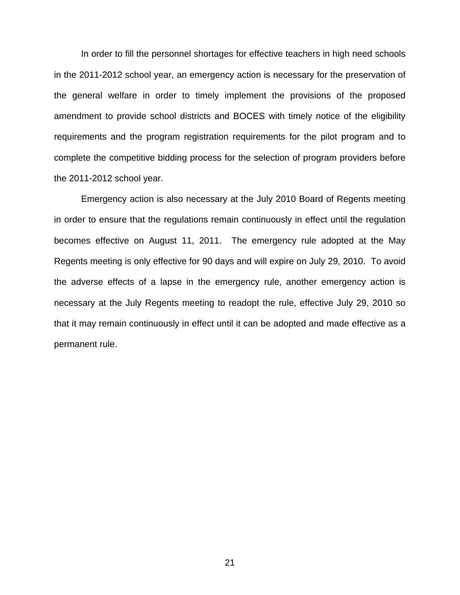In order to fill the personnel shortages for effective teachers in high need schools in the 2011-2012 school year, an emergency action is necessary for the preservation of the general welfare in order to timely implement the provisions of the proposed amendment to provide school districts and BOCES with timely notice of the eligibility requirements and the program registration requirements for the pilot program and to complete the competitive bidding process for the selection of program providers before the 2011-2012 school year.

Emergency action is also necessary at the July 2010 Board of Regents meeting in order to ensure that the regulations remain continuously in effect until the regulation becomes effective on August 11, 2011. The emergency rule adopted at the May Regents meeting is only effective for 90 days and will expire on July 29, 2010. To avoid the adverse effects of a lapse in the emergency rule, another emergency action is necessary at the July Regents meeting to readopt the rule, effective July 29, 2010 so that it may remain continuously in effect until it can be adopted and made effective as a permanent rule.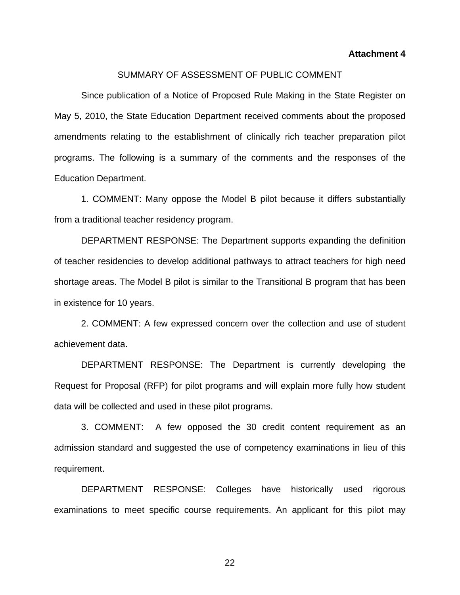**Attachment 4** 

#### SUMMARY OF ASSESSMENT OF PUBLIC COMMENT

Since publication of a Notice of Proposed Rule Making in the State Register on May 5, 2010, the State Education Department received comments about the proposed amendments relating to the establishment of clinically rich teacher preparation pilot programs. The following is a summary of the comments and the responses of the Education Department.

1. COMMENT: Many oppose the Model B pilot because it differs substantially from a traditional teacher residency program.

 DEPARTMENT RESPONSE: The Department supports expanding the definition of teacher residencies to develop additional pathways to attract teachers for high need shortage areas. The Model B pilot is similar to the Transitional B program that has been in existence for 10 years.

 2. COMMENT: A few expressed concern over the collection and use of student achievement data.

 DEPARTMENT RESPONSE: The Department is currently developing the Request for Proposal (RFP) for pilot programs and will explain more fully how student data will be collected and used in these pilot programs.

 3. COMMENT: A few opposed the 30 credit content requirement as an admission standard and suggested the use of competency examinations in lieu of this requirement.

 DEPARTMENT RESPONSE: Colleges have historically used rigorous examinations to meet specific course requirements. An applicant for this pilot may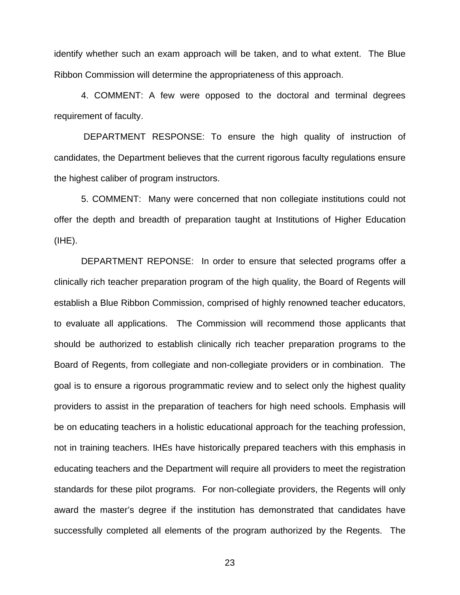identify whether such an exam approach will be taken, and to what extent. The Blue Ribbon Commission will determine the appropriateness of this approach.

 4. COMMENT: A few were opposed to the doctoral and terminal degrees requirement of faculty.

 DEPARTMENT RESPONSE: To ensure the high quality of instruction of candidates, the Department believes that the current rigorous faculty regulations ensure the highest caliber of program instructors.

5. COMMENT: Many were concerned that non collegiate institutions could not offer the depth and breadth of preparation taught at Institutions of Higher Education (IHE).

 DEPARTMENT REPONSE: In order to ensure that selected programs offer a clinically rich teacher preparation program of the high quality, the Board of Regents will establish a Blue Ribbon Commission, comprised of highly renowned teacher educators, to evaluate all applications. The Commission will recommend those applicants that should be authorized to establish clinically rich teacher preparation programs to the Board of Regents, from collegiate and non-collegiate providers or in combination. The goal is to ensure a rigorous programmatic review and to select only the highest quality providers to assist in the preparation of teachers for high need schools. Emphasis will be on educating teachers in a holistic educational approach for the teaching profession, not in training teachers. IHEs have historically prepared teachers with this emphasis in educating teachers and the Department will require all providers to meet the registration standards for these pilot programs. For non-collegiate providers, the Regents will only award the master's degree if the institution has demonstrated that candidates have successfully completed all elements of the program authorized by the Regents. The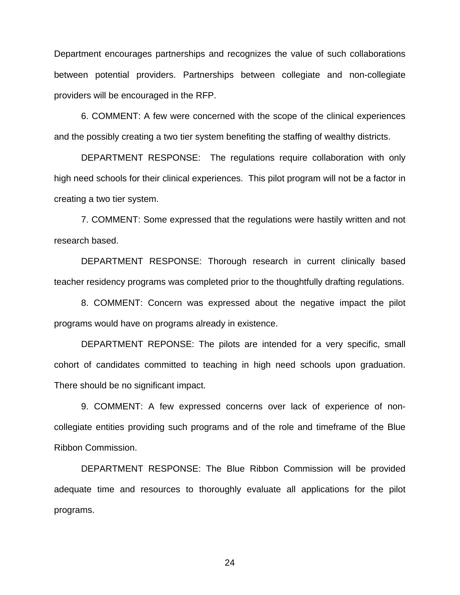Department encourages partnerships and recognizes the value of such collaborations between potential providers. Partnerships between collegiate and non-collegiate providers will be encouraged in the RFP.

 6. COMMENT: A few were concerned with the scope of the clinical experiences and the possibly creating a two tier system benefiting the staffing of wealthy districts.

 DEPARTMENT RESPONSE: The regulations require collaboration with only high need schools for their clinical experiences. This pilot program will not be a factor in creating a two tier system.

 7. COMMENT: Some expressed that the regulations were hastily written and not research based.

 DEPARTMENT RESPONSE: Thorough research in current clinically based teacher residency programs was completed prior to the thoughtfully drafting regulations.

 8. COMMENT: Concern was expressed about the negative impact the pilot programs would have on programs already in existence.

 DEPARTMENT REPONSE: The pilots are intended for a very specific, small cohort of candidates committed to teaching in high need schools upon graduation. There should be no significant impact.

 9. COMMENT: A few expressed concerns over lack of experience of noncollegiate entities providing such programs and of the role and timeframe of the Blue Ribbon Commission.

 DEPARTMENT RESPONSE: The Blue Ribbon Commission will be provided adequate time and resources to thoroughly evaluate all applications for the pilot programs.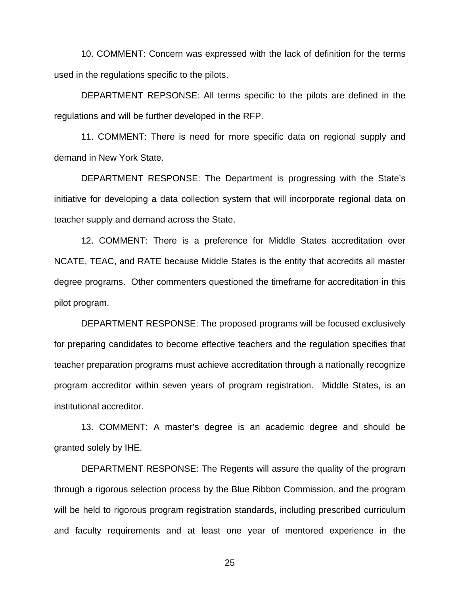10. COMMENT: Concern was expressed with the lack of definition for the terms used in the regulations specific to the pilots.

 DEPARTMENT REPSONSE: All terms specific to the pilots are defined in the regulations and will be further developed in the RFP.

 11. COMMENT: There is need for more specific data on regional supply and demand in New York State.

 DEPARTMENT RESPONSE: The Department is progressing with the State's initiative for developing a data collection system that will incorporate regional data on teacher supply and demand across the State.

 12. COMMENT: There is a preference for Middle States accreditation over NCATE, TEAC, and RATE because Middle States is the entity that accredits all master degree programs. Other commenters questioned the timeframe for accreditation in this pilot program.

 DEPARTMENT RESPONSE: The proposed programs will be focused exclusively for preparing candidates to become effective teachers and the regulation specifies that teacher preparation programs must achieve accreditation through a nationally recognize program accreditor within seven years of program registration. Middle States, is an institutional accreditor.

 13. COMMENT: A master's degree is an academic degree and should be granted solely by IHE.

 DEPARTMENT RESPONSE: The Regents will assure the quality of the program through a rigorous selection process by the Blue Ribbon Commission. and the program will be held to rigorous program registration standards, including prescribed curriculum and faculty requirements and at least one year of mentored experience in the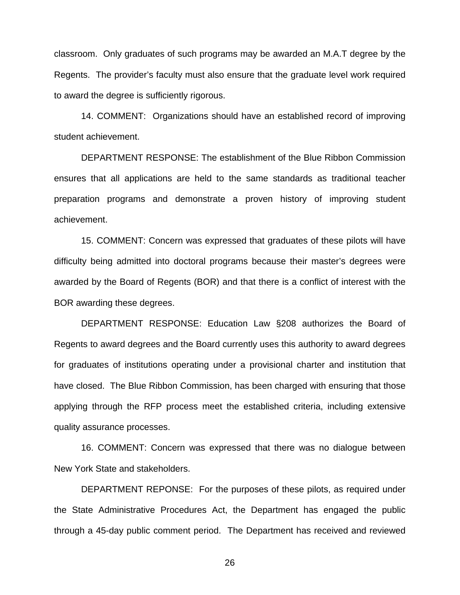classroom. Only graduates of such programs may be awarded an M.A.T degree by the Regents. The provider's faculty must also ensure that the graduate level work required to award the degree is sufficiently rigorous.

 14. COMMENT: Organizations should have an established record of improving student achievement.

 DEPARTMENT RESPONSE: The establishment of the Blue Ribbon Commission ensures that all applications are held to the same standards as traditional teacher preparation programs and demonstrate a proven history of improving student achievement.

 15. COMMENT: Concern was expressed that graduates of these pilots will have difficulty being admitted into doctoral programs because their master's degrees were awarded by the Board of Regents (BOR) and that there is a conflict of interest with the BOR awarding these degrees.

 DEPARTMENT RESPONSE: Education Law §208 authorizes the Board of Regents to award degrees and the Board currently uses this authority to award degrees for graduates of institutions operating under a provisional charter and institution that have closed. The Blue Ribbon Commission, has been charged with ensuring that those applying through the RFP process meet the established criteria, including extensive quality assurance processes.

 16. COMMENT: Concern was expressed that there was no dialogue between New York State and stakeholders.

 DEPARTMENT REPONSE: For the purposes of these pilots, as required under the State Administrative Procedures Act, the Department has engaged the public through a 45-day public comment period. The Department has received and reviewed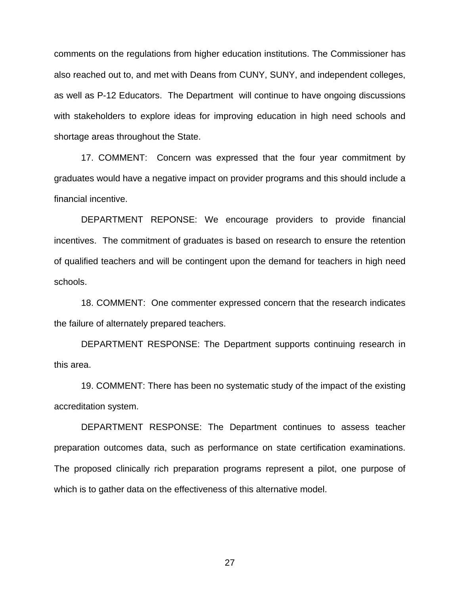comments on the regulations from higher education institutions. The Commissioner has also reached out to, and met with Deans from CUNY, SUNY, and independent colleges, as well as P-12 Educators. The Department will continue to have ongoing discussions with stakeholders to explore ideas for improving education in high need schools and shortage areas throughout the State.

 17. COMMENT: Concern was expressed that the four year commitment by graduates would have a negative impact on provider programs and this should include a financial incentive.

 DEPARTMENT REPONSE: We encourage providers to provide financial incentives. The commitment of graduates is based on research to ensure the retention of qualified teachers and will be contingent upon the demand for teachers in high need schools.

 18. COMMENT: One commenter expressed concern that the research indicates the failure of alternately prepared teachers.

 DEPARTMENT RESPONSE: The Department supports continuing research in this area.

19. COMMENT: There has been no systematic study of the impact of the existing accreditation system.

DEPARTMENT RESPONSE: The Department continues to assess teacher preparation outcomes data, such as performance on state certification examinations. The proposed clinically rich preparation programs represent a pilot, one purpose of which is to gather data on the effectiveness of this alternative model.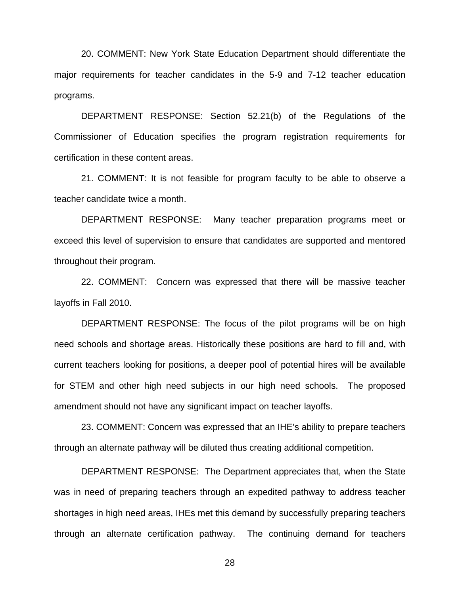20. COMMENT: New York State Education Department should differentiate the major requirements for teacher candidates in the 5-9 and 7-12 teacher education programs.

DEPARTMENT RESPONSE: Section 52.21(b) of the Regulations of the Commissioner of Education specifies the program registration requirements for certification in these content areas.

21. COMMENT: It is not feasible for program faculty to be able to observe a teacher candidate twice a month.

DEPARTMENT RESPONSE: Many teacher preparation programs meet or exceed this level of supervision to ensure that candidates are supported and mentored throughout their program.

22. COMMENT: Concern was expressed that there will be massive teacher layoffs in Fall 2010.

DEPARTMENT RESPONSE: The focus of the pilot programs will be on high need schools and shortage areas. Historically these positions are hard to fill and, with current teachers looking for positions, a deeper pool of potential hires will be available for STEM and other high need subjects in our high need schools. The proposed amendment should not have any significant impact on teacher layoffs.

23. COMMENT: Concern was expressed that an IHE's ability to prepare teachers through an alternate pathway will be diluted thus creating additional competition.

DEPARTMENT RESPONSE: The Department appreciates that, when the State was in need of preparing teachers through an expedited pathway to address teacher shortages in high need areas, IHEs met this demand by successfully preparing teachers through an alternate certification pathway. The continuing demand for teachers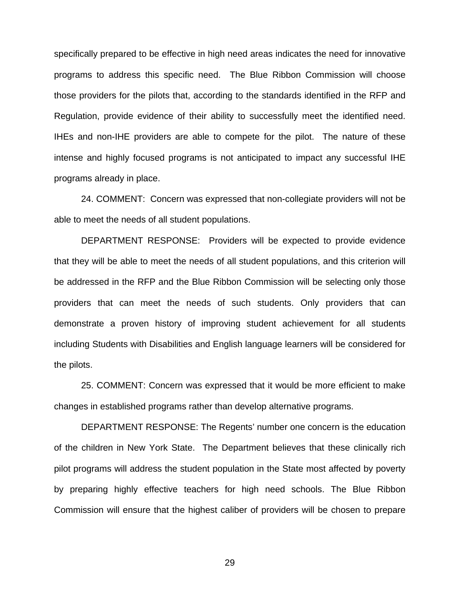specifically prepared to be effective in high need areas indicates the need for innovative programs to address this specific need. The Blue Ribbon Commission will choose those providers for the pilots that, according to the standards identified in the RFP and Regulation, provide evidence of their ability to successfully meet the identified need. IHEs and non-IHE providers are able to compete for the pilot. The nature of these intense and highly focused programs is not anticipated to impact any successful IHE programs already in place.

24. COMMENT: Concern was expressed that non-collegiate providers will not be able to meet the needs of all student populations.

DEPARTMENT RESPONSE: Providers will be expected to provide evidence that they will be able to meet the needs of all student populations, and this criterion will be addressed in the RFP and the Blue Ribbon Commission will be selecting only those providers that can meet the needs of such students. Only providers that can demonstrate a proven history of improving student achievement for all students including Students with Disabilities and English language learners will be considered for the pilots.

25. COMMENT: Concern was expressed that it would be more efficient to make changes in established programs rather than develop alternative programs.

DEPARTMENT RESPONSE: The Regents' number one concern is the education of the children in New York State. The Department believes that these clinically rich pilot programs will address the student population in the State most affected by poverty by preparing highly effective teachers for high need schools. The Blue Ribbon Commission will ensure that the highest caliber of providers will be chosen to prepare